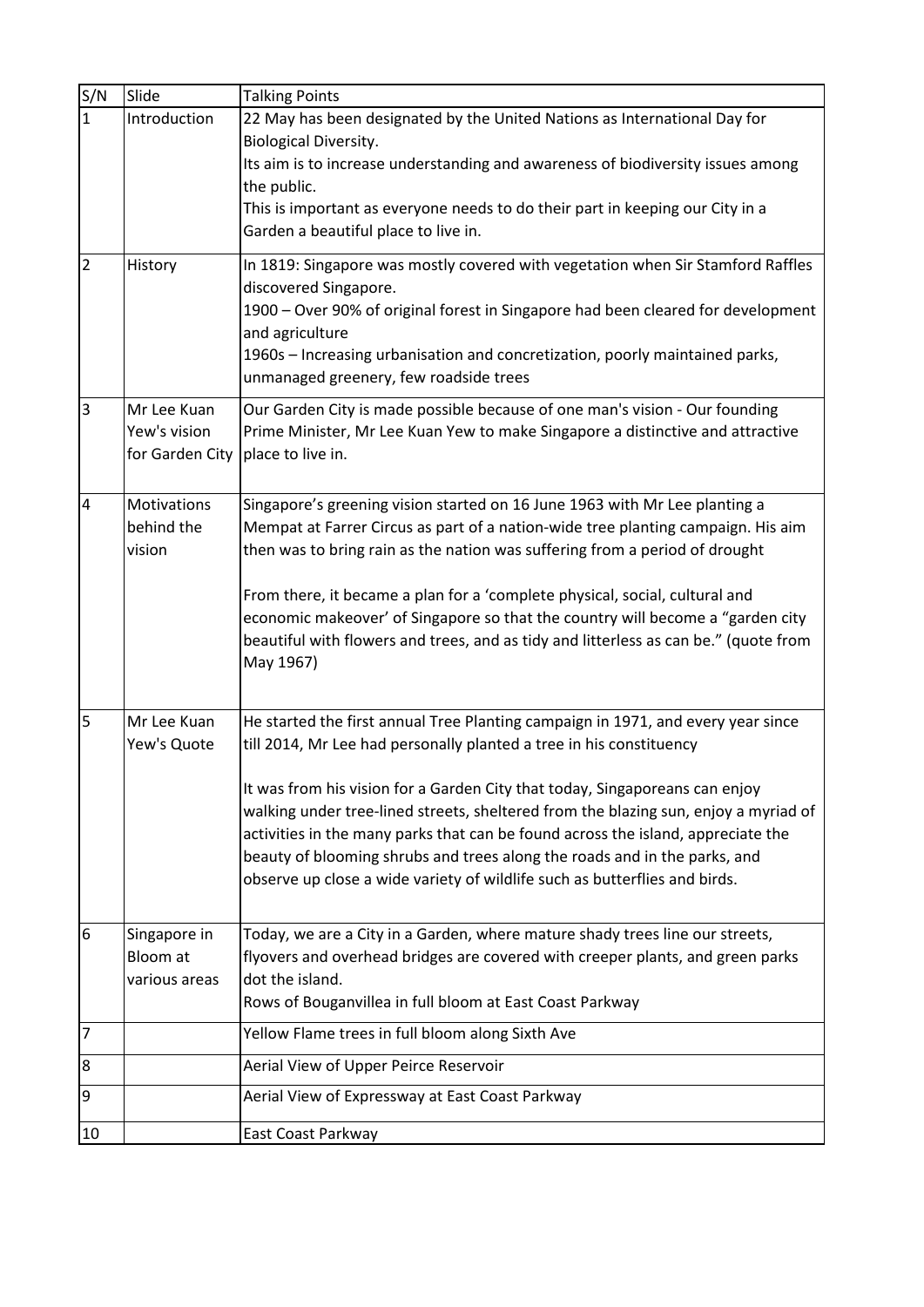| S/N          | Slide                                          | <b>Talking Points</b>                                                                                                                                                               |
|--------------|------------------------------------------------|-------------------------------------------------------------------------------------------------------------------------------------------------------------------------------------|
| $\mathbf{1}$ | Introduction                                   | 22 May has been designated by the United Nations as International Day for<br>Biological Diversity.                                                                                  |
|              |                                                | Its aim is to increase understanding and awareness of biodiversity issues among                                                                                                     |
|              |                                                | the public.<br>This is important as everyone needs to do their part in keeping our City in a                                                                                        |
|              |                                                | Garden a beautiful place to live in.                                                                                                                                                |
| 2            | History                                        | In 1819: Singapore was mostly covered with vegetation when Sir Stamford Raffles<br>discovered Singapore.                                                                            |
|              |                                                | 1900 - Over 90% of original forest in Singapore had been cleared for development<br>and agriculture                                                                                 |
|              |                                                | 1960s - Increasing urbanisation and concretization, poorly maintained parks,<br>unmanaged greenery, few roadside trees                                                              |
| 3            | Mr Lee Kuan<br>Yew's vision<br>for Garden City | Our Garden City is made possible because of one man's vision - Our founding<br>Prime Minister, Mr Lee Kuan Yew to make Singapore a distinctive and attractive<br>place to live in.  |
| 4            | Motivations                                    | Singapore's greening vision started on 16 June 1963 with Mr Lee planting a                                                                                                          |
|              | behind the<br>vision                           | Mempat at Farrer Circus as part of a nation-wide tree planting campaign. His aim<br>then was to bring rain as the nation was suffering from a period of drought                     |
|              |                                                | From there, it became a plan for a 'complete physical, social, cultural and                                                                                                         |
|              |                                                | economic makeover' of Singapore so that the country will become a "garden city<br>beautiful with flowers and trees, and as tidy and litterless as can be." (quote from<br>May 1967) |
| 5            | Mr Lee Kuan<br>Yew's Quote                     | He started the first annual Tree Planting campaign in 1971, and every year since<br>till 2014, Mr Lee had personally planted a tree in his constituency                             |
|              |                                                | It was from his vision for a Garden City that today, Singaporeans can enjoy                                                                                                         |
|              |                                                | walking under tree-lined streets, sheltered from the blazing sun, enjoy a myriad of                                                                                                 |
|              |                                                | activities in the many parks that can be found across the island, appreciate the                                                                                                    |
|              |                                                | beauty of blooming shrubs and trees along the roads and in the parks, and                                                                                                           |
|              |                                                | observe up close a wide variety of wildlife such as butterflies and birds.                                                                                                          |
| 6            | Singapore in<br>Bloom at                       | Today, we are a City in a Garden, where mature shady trees line our streets,<br>flyovers and overhead bridges are covered with creeper plants, and green parks                      |
|              | various areas                                  | dot the island.                                                                                                                                                                     |
|              |                                                | Rows of Bouganvillea in full bloom at East Coast Parkway                                                                                                                            |
| 7            |                                                | Yellow Flame trees in full bloom along Sixth Ave                                                                                                                                    |
| 8            |                                                | Aerial View of Upper Peirce Reservoir                                                                                                                                               |
| 9            |                                                | Aerial View of Expressway at East Coast Parkway                                                                                                                                     |
| 10           |                                                | East Coast Parkway                                                                                                                                                                  |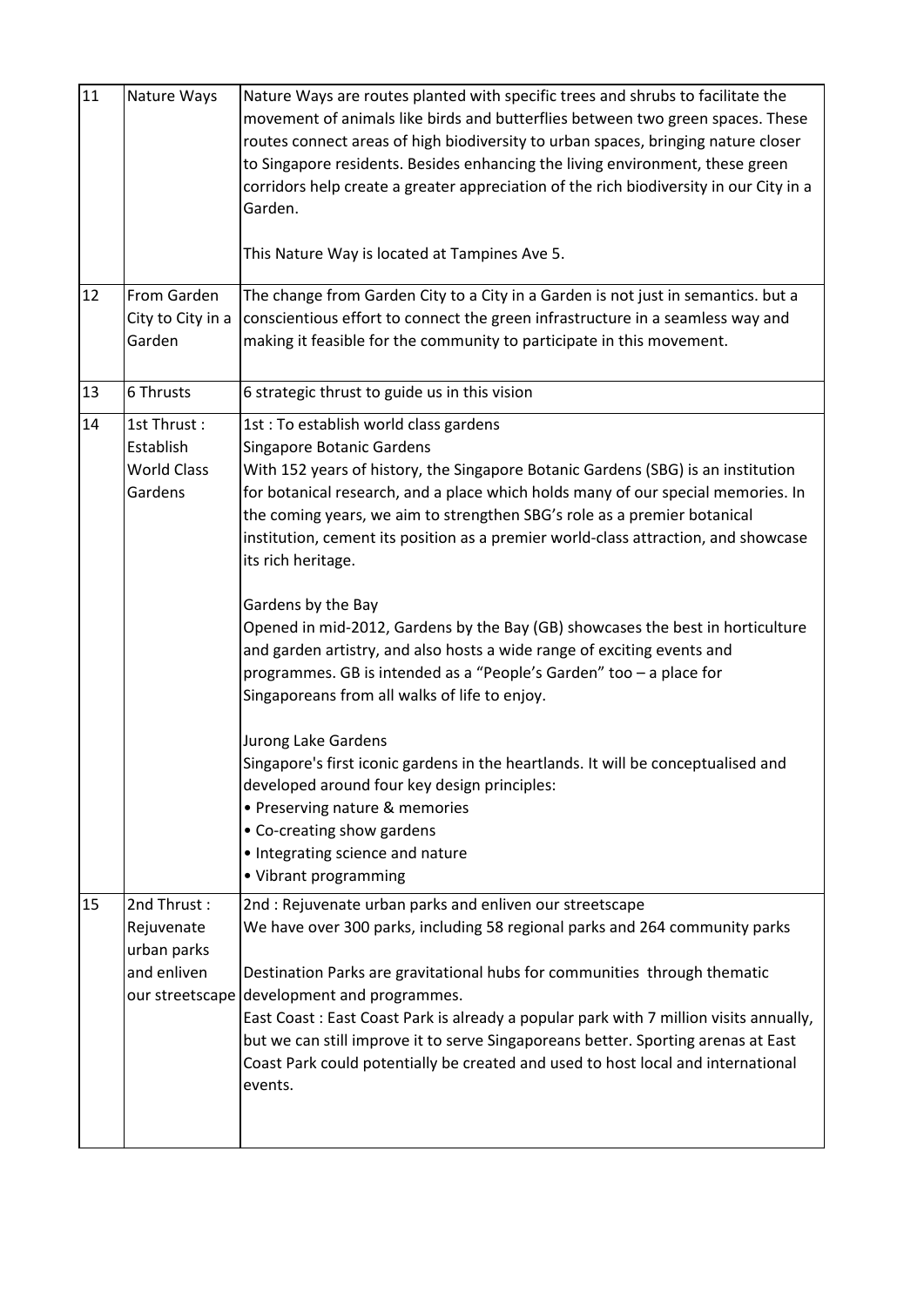| $\overline{11}$ | Nature Ways                                                                | Nature Ways are routes planted with specific trees and shrubs to facilitate the<br>movement of animals like birds and butterflies between two green spaces. These<br>routes connect areas of high biodiversity to urban spaces, bringing nature closer<br>to Singapore residents. Besides enhancing the living environment, these green<br>corridors help create a greater appreciation of the rich biodiversity in our City in a<br>Garden.<br>This Nature Way is located at Tampines Ave 5.                                                                                                                                                                                                                                                                                                                                                                                                                                                                                                                                           |
|-----------------|----------------------------------------------------------------------------|-----------------------------------------------------------------------------------------------------------------------------------------------------------------------------------------------------------------------------------------------------------------------------------------------------------------------------------------------------------------------------------------------------------------------------------------------------------------------------------------------------------------------------------------------------------------------------------------------------------------------------------------------------------------------------------------------------------------------------------------------------------------------------------------------------------------------------------------------------------------------------------------------------------------------------------------------------------------------------------------------------------------------------------------|
| 12              | From Garden<br>City to City in a<br>Garden                                 | The change from Garden City to a City in a Garden is not just in semantics. but a<br>conscientious effort to connect the green infrastructure in a seamless way and<br>making it feasible for the community to participate in this movement.                                                                                                                                                                                                                                                                                                                                                                                                                                                                                                                                                                                                                                                                                                                                                                                            |
| 13              | 6 Thrusts                                                                  | 6 strategic thrust to guide us in this vision                                                                                                                                                                                                                                                                                                                                                                                                                                                                                                                                                                                                                                                                                                                                                                                                                                                                                                                                                                                           |
| 14              | 1st Thrust:<br>Establish<br><b>World Class</b><br>Gardens                  | 1st : To establish world class gardens<br>Singapore Botanic Gardens<br>With 152 years of history, the Singapore Botanic Gardens (SBG) is an institution<br>for botanical research, and a place which holds many of our special memories. In<br>the coming years, we aim to strengthen SBG's role as a premier botanical<br>institution, cement its position as a premier world-class attraction, and showcase<br>its rich heritage.<br>Gardens by the Bay<br>Opened in mid-2012, Gardens by the Bay (GB) showcases the best in horticulture<br>and garden artistry, and also hosts a wide range of exciting events and<br>programmes. GB is intended as a "People's Garden" too - a place for<br>Singaporeans from all walks of life to enjoy.<br>Jurong Lake Gardens<br>Singapore's first iconic gardens in the heartlands. It will be conceptualised and<br>developed around four key design principles:<br>• Preserving nature & memories<br>• Co-creating show gardens<br>• Integrating science and nature<br>• Vibrant programming |
| 15              | 2nd Thrust:<br>Rejuvenate<br>urban parks<br>and enliven<br>our streetscape | 2nd : Rejuvenate urban parks and enliven our streetscape<br>We have over 300 parks, including 58 regional parks and 264 community parks<br>Destination Parks are gravitational hubs for communities through thematic<br>development and programmes.<br>East Coast: East Coast Park is already a popular park with 7 million visits annually,<br>but we can still improve it to serve Singaporeans better. Sporting arenas at East<br>Coast Park could potentially be created and used to host local and international<br>events.                                                                                                                                                                                                                                                                                                                                                                                                                                                                                                        |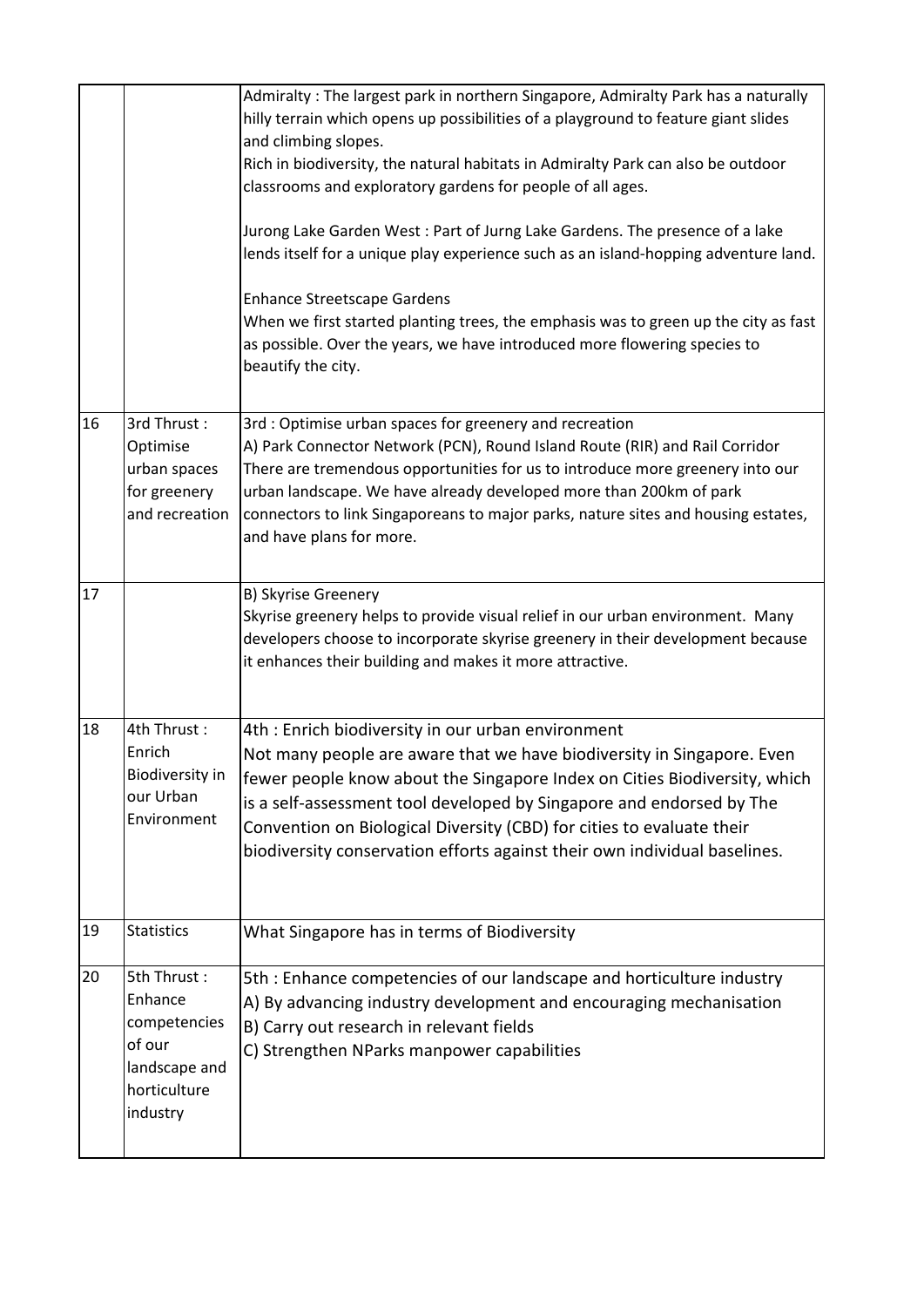|    |                                                                                               | Admiralty: The largest park in northern Singapore, Admiralty Park has a naturally<br>hilly terrain which opens up possibilities of a playground to feature giant slides<br>and climbing slopes.<br>Rich in biodiversity, the natural habitats in Admiralty Park can also be outdoor<br>classrooms and exploratory gardens for people of all ages.<br>Jurong Lake Garden West: Part of Jurng Lake Gardens. The presence of a lake<br>lends itself for a unique play experience such as an island-hopping adventure land.<br><b>Enhance Streetscape Gardens</b><br>When we first started planting trees, the emphasis was to green up the city as fast<br>as possible. Over the years, we have introduced more flowering species to<br>beautify the city. |
|----|-----------------------------------------------------------------------------------------------|---------------------------------------------------------------------------------------------------------------------------------------------------------------------------------------------------------------------------------------------------------------------------------------------------------------------------------------------------------------------------------------------------------------------------------------------------------------------------------------------------------------------------------------------------------------------------------------------------------------------------------------------------------------------------------------------------------------------------------------------------------|
| 16 | 3rd Thrust:<br>Optimise<br>urban spaces<br>for greenery<br>and recreation                     | 3rd : Optimise urban spaces for greenery and recreation<br>A) Park Connector Network (PCN), Round Island Route (RIR) and Rail Corridor<br>There are tremendous opportunities for us to introduce more greenery into our<br>urban landscape. We have already developed more than 200km of park<br>connectors to link Singaporeans to major parks, nature sites and housing estates,<br>and have plans for more.                                                                                                                                                                                                                                                                                                                                          |
| 17 |                                                                                               | B) Skyrise Greenery<br>Skyrise greenery helps to provide visual relief in our urban environment. Many<br>developers choose to incorporate skyrise greenery in their development because<br>it enhances their building and makes it more attractive.                                                                                                                                                                                                                                                                                                                                                                                                                                                                                                     |
| 18 | 4th Thrust:<br>Enrich<br>Biodiversity in<br>our Urban<br>Environment                          | 4th : Enrich biodiversity in our urban environment<br>Not many people are aware that we have biodiversity in Singapore. Even<br>fewer people know about the Singapore Index on Cities Biodiversity, which<br>is a self-assessment tool developed by Singapore and endorsed by The<br>Convention on Biological Diversity (CBD) for cities to evaluate their<br>biodiversity conservation efforts against their own individual baselines.                                                                                                                                                                                                                                                                                                                 |
| 19 | <b>Statistics</b>                                                                             | What Singapore has in terms of Biodiversity                                                                                                                                                                                                                                                                                                                                                                                                                                                                                                                                                                                                                                                                                                             |
| 20 | 5th Thrust:<br>Enhance<br>competencies<br>of our<br>landscape and<br>horticulture<br>industry | 5th: Enhance competencies of our landscape and horticulture industry<br>A) By advancing industry development and encouraging mechanisation<br>B) Carry out research in relevant fields<br>C) Strengthen NParks manpower capabilities                                                                                                                                                                                                                                                                                                                                                                                                                                                                                                                    |